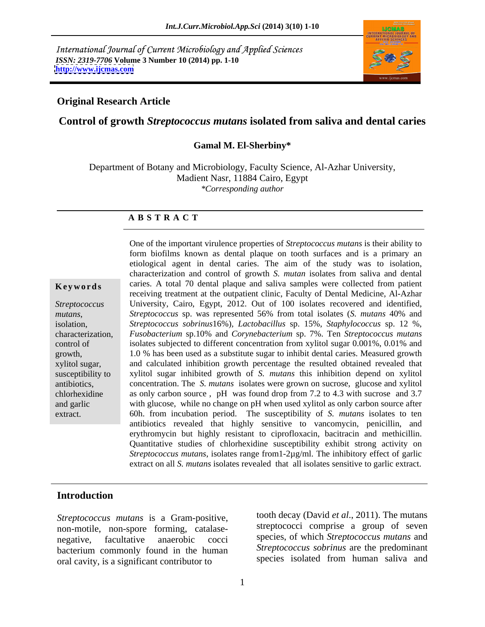International Journal of Current Microbiology and Applied Sciences *ISSN: 2319-7706* **Volume 3 Number 10 (2014) pp. 1-10 <http://www.ijcmas.com>**



## **Original Research Article**

## **Control of growth** *Streptococcus mutans* **isolated from saliva and dental caries**

## **Gamal M. El-Sherbiny\***

Department of Botany and Microbiology, Faculty Science, Al-Azhar University, Madient Nasr, 11884 Cairo, Egypt *\*Corresponding author* 

## **A B S T R A C T**

**Keywords** caries. A total 70 dental plaque and saliva samples were collected from patient *Streptococcus*  University, Cairo, Egypt, 2012. Out of 100 isolates recovered and identified, mutans, *Streptococcus* sp. was represented 56% from total isolates (*S. mutans* 40% and isolation, *Streptococcus sobrinus*16%)*, Lactobacillus* sp. 15%*, Staphylococcus* sp. 12 %, characterization, *Fusobacterium* sp.10% and *Corynebacterium* sp. 7%. Ten *Streptococcus mutans* control of isolates subjected to different concentration from xylitol sugar 0.001%, 0.01% and growth, 1.0 % has been used as a substitute sugar to inhibit dental caries. Measured growth xylitol sugar, and calculated inhibition growth percentage the resulted obtained revealed that susceptibility to xylitol sugar inhibited growth of *S. mutans* this inhibition depend on xylitol antibiotics, concentration. The *S. mutans* isolates were grown on sucrose, glucose and xylitol chlorhexidine as only carbon source , pH was found drop from 7.2 to 4.3 with sucrose and 3.7 and garlic with glucose, while no change on pH when used xylitol as only carbon source after extract. 60h. from incubation period. The susceptibility of *S. mutans* isolates to ten One of the important virulence properties of *Streptococcus mutans* is their ability to form biofilms known as dental plaque on tooth surfaces and is a primary an etiological agent in dental caries. The aim of the study was to isolation, characterization and control of growth *S. mutan* isolates from saliva and dental receiving treatment at the outpatient clinic, Faculty of Dental Medicine, Al-Azhar *Streptococcus* sp. was represented 56% from total isolates (*S. mutans* 40% and antibiotics revealed that highly sensitive to vancomycin, penicillin, and erythromycin but highly resistant to ciprofloxacin, bacitracin and methicillin. Quantitative studies of chlorhexidine susceptibility exhibit strong activity on *Streptococcus mutans*, isolates range from1-2µg/ml. The inhibitory effect of garlic extract on all *S. mutans* isolates revealed that all isolates sensitive to garlic extract.

## **Introduction**

*Streptococcus mutans* is a Gram-positive, non-motile, non-spore forming, catalase bacterium commonly found in the human oral cavity, is a significant contributor to

negative, facultative anaerobic cocci species, of which *Streptococcus mutans* and tooth decay (David *et al*., 2011). The mutans streptococci comprise a group of seven *Streptococcus sobrinus* are the predominant species isolated from human saliva and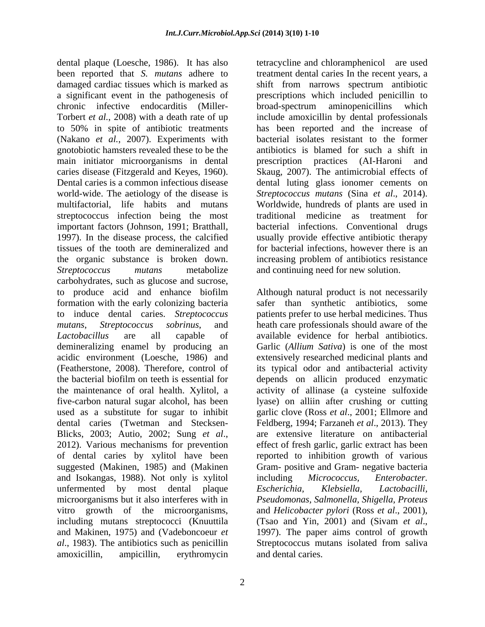dental plaque (Loesche, 1986). It has also been reported that *S. mutans* adhere to damaged cardiac tissues which is marked as shift from narrows spectrum antibiotic a significant event in the pathogenesis of prescriptions which included penicillin to chronic infective endocarditis (Miller- Torbert *et al.*, 2008) with a death rate of up include amoxicillin by dental professionals to 50% in spite of antibiotic treatments (Nakano *et al.*, 2007). Experiments with gnotobiotic hamsters revealed these to be the antibiotics is blamed for such a shift in main initiator microorganisms in dental caries disease (Fitzgerald and Keyes, 1960). Skaug, 2007). The antimicrobial effects of Dental caries is a common infectious disease dental luting glass ionomer cements on world-wide. The aetiology of the disease is *Streptococcus mutans* (Sina *et al*., 2014). multifactorial, life habits and mutans Worldwide, hundreds of plants are used in streptococcus infection being the most traditional medicine as treatment for important factors (Johnson, 1991; Bratthall, bacterial infections. Conventional drugs 1997). In the disease process, the calcified usually provide effective antibiotic therapy tissues of the tooth are demineralized and the organic substance is broken down. *Streptococcus mutans* metabolize and continuing need for new solution. carbohydrates, such as glucose and sucrose, to produce acid and enhance biofilm Although natural product is not necessarily formation with the early colonizing bacteria to induce dental caries. *Streptococcus*  patients prefer to use herbal medicines. Thus *mutans*, *Streptococcus sobrinus*, and heath care professionals should aware of the *Lactobacillus* are all capable of available evidence for herbal antibiotics. demineralizing enamel by producing an acidic environment (Loesche, 1986) and extensively researched medicinal plants and (Featherstone, 2008). Therefore, control of its typical odor and antibacterial activity the bacterial biofilm on teeth is essential for depends on allicin produced enzymatic the maintenance of oral health. Xylitol, a activity of allinase (a cysteine sulfoxide five-carbon natural sugar alcohol, has been lyase) on alliin after crushing or cutting used as a substitute for sugar to inhibit garlic clove (Ross *et al*., 2001; Ellmore and dental caries (Twetman and Stecksen- Feldberg, 1994; Farzaneh *et al.*, 2013). They Blicks, 2003; Autio, 2002; Sung *et al.*, are extensive literature on antibacterial 2012). Various mechanisms for prevention effect of fresh garlic, garlic extract has been of dental caries by xylitol have been reported to inhibition growth of various suggested (Makinen, 1985) and (Makinen Gram- positive and Gram- negative bacteria and Isokangas, 1988). Not only is xylitol including *Micrococcus*, *Enterobacter*. unfermented by most dental plaque *Escherichia*, *Klebsiella, Lactobacilli*, microorganisms but it also interferes with in *Pseudomonas, Salmonella, Shigella, Proteus* vitro growth of the microorganisms, and *Helicobacter pylori* (Ross *et al*., 2001), including mutans streptococci (Knuuttila (Tsao and Yin, 2001) and (Sivam et al., and Makinen, 1975) and (Vadeboncoeur *et* 1997). The paper aims control of growth *al*., 1983). The antibiotics such as penicillin

tetracycline and chloramphenicol are used treatment dental caries In the recent years, a broad-spectrum aminopenicillins which has been reported and the increase of bacterial isolates resistant to the former prescription practices (AI-Haroni traditional medicine as treatment for bacterial infections, however there is an increasing problem of antibiotics resistance

amoxicillin, ampicillin, erythromycin safer than synthetic antibiotics, some Garlic (*Allium Sativa*) is one of the most are extensive literature on antibacterial effect of fresh garlic, garlic extract has been including *Micrococcus, Enterobacter. Escherichia, Klebsiella, Lactobacilli,* (Tsao and Yin, 2001) and (Sivam *et al*., 1997). The paper aims control of growth Streptococcus mutans isolated from saliva and dental caries.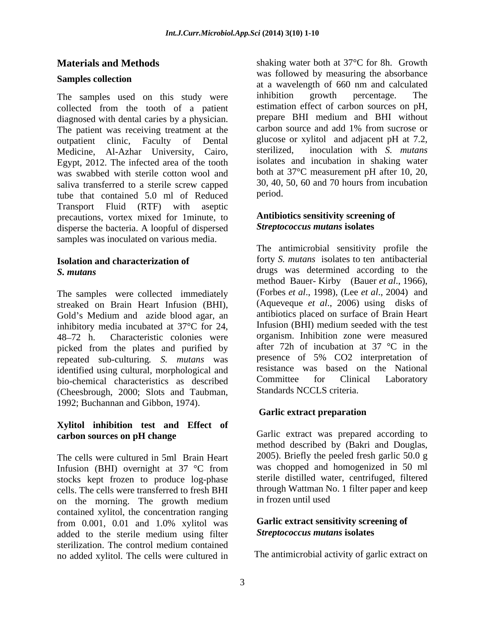collected from the tooth of a patient diagnosed with dental caries by a physician. The patient was receiving treatment at the outpatient clinic, Faculty of Dental glucose or<br>Medicine Al-Azbar University Cairo sterilized. Medicine, Al-Azhar University, Cairo, Egypt, 2012. The infected area of the tooth was swabbed with sterile cotton wool and saliva transferred to a sterile screw capped  $30, 40$ ,<br>type that contained  $5.0$  ml of Reduced period. tube that contained 5.0 ml of Reduced Transport Fluid (RTF) with aseptic precautions, vortex mixed for 1minute, to disperse the bacteria. A loopful of dispersed samples was inoculated on various media.

The samples were collected immediately streaked on Brain Heart Infusion (BHI), Gold's Medium and azide blood agar, an inhibitory media incubated at 37°C for 24, 48 72 h. Characteristic colonies were organism. Inhibition zone were measured picked from the plates and purified by repeated sub-culturing*. S. mutans* was identified using cultural, morphological and<br>hio-chemical characteristics as described Committee for Clinical Laboratory bio-chemical characteristics as described (Cheesbrough, 2000; Slots and Taubman, 1992; Buchannan and Gibbon, 1974).<br> **Garlic extract preparation** 

# **Xylitol inhibition test and Effect of**

The cells were cultured in 5ml Brain Heart Infusion (BHI) overnight at 37 °C from stocks kept frozen to produce log-phase cells. The cells were transferred to fresh BHI through Wattman N<br>contribute method and the morning. The growth medium in frozen until used on the morning. The growth medium contained xylitol, the concentration ranging from 0.001, 0.01 and 1.0% xylitol was **Garlic extract sensitivity screening of** added to the sterile medium using filter sterilization. The control medium contained no added xylitol. The cells were cultured in

**Materials and Methods** shaking water both at 37<sup>°</sup>C for 8h. Growth **Samples collection**<br>
at a wavelength of 660 nm and calculated The samples used on this study were inhibition growth percentage. The was followed by measuring the absorbance inhibition growth percentage. The estimation effect of carbon sources on pH, prepare BHI medium and BHI without carbon source and add 1% from sucrose or glucose or xylitol and adjacent pH at 7.2, inoculation with *S. mutans* isolates and incubation in shaking water both at 37°C measurement pH after 10, 20, 30, 40, 50, 60 and 70 hours from incubation period.

## **Antibiotics sensitivity screening of**  *Streptococcus mutans* **isolates**

**Isolation and characterization of** *forty <i>S. mutans* isolates to ten antibacterial *S. mutans*  drugs was determined according to the The antimicrobial sensitivity profile the method Bauer- Kirby (Bauer *et al*., 1966), (Forbes *et al*., 1998), (Lee *et al*., 2004) and (Aqueveque *et al*., 2006) using disks of antibiotics placed on surface of Brain Heart Infusion (BHI) medium seeded with the test after 72h of incubation at 37 °C in the presence of 5% CO2 interpretation of resistance was based on the National Committee for Clinical Laboratory Standards NCCLS criteria.

# **Garlic extract preparation**

**carbon sources on pH change** Garlic extract was prepared according to method described by (Bakri and Douglas, 2005). Briefly the peeled fresh garlic 50.0 g was chopped and homogenized in 50 ml sterile distilled water, centrifuged, filtered through Wattman No. 1 filter paper and keep in frozen until used

# **Garlic extract sensitivity screening of**  *Streptococcus mutans* **isolates**

The antimicrobial activity of garlic extract on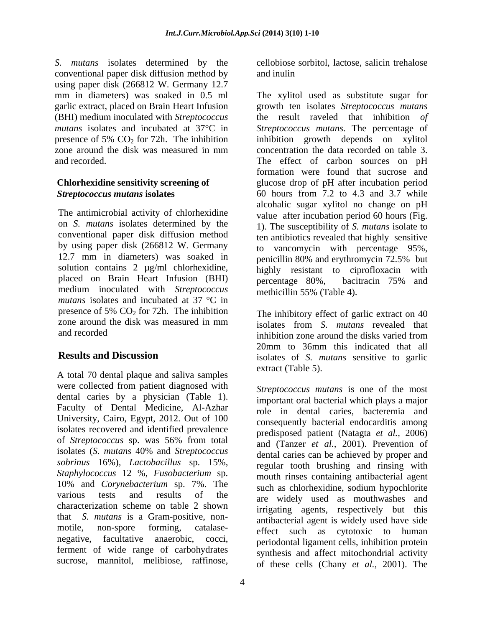*S. mutans* isolates determined by the conventional paper disk diffusion method by using paper disk (266812 W. Germany 12.7 garlic extract, placed on Brain Heart Infusion (BHI) medium inoculated with *Streptococcus mutans* isolates and incubated at 37°C in presence of 5%  $CO<sub>2</sub>$  for 72h. The inhibition zone around the disk was measured in mm and recorded. The effect of carbon sources on pH

The antimicrobial activity of chlorhexidine conventional paper disk diffusion method by using paper disk (266812 W. Germany 12.7 mm in diameters) was soaked in penicillin 80% and erythromycin 72.5% but placed on Brain Heart Infusion (BHI) percentage 80%,<br>medium inoculated with *Streptococcus* methicillin 55% (T) *mutans* isolates and incubated at 37 °C in presence of 5%  $CO_2$  for 72h. The inhibition The inhibitory effect of garlic extract on 40 zone around the disk was measured in mm

A total 70 dental plaque and saliva samples were collected from patient diagnosed with University, Cairo, Egypt, 2012. Out of 100 isolates recovered and identified prevalence of *Streptococcus* sp. was 56% from total *sobrinus* 16%)*, Lactobacillus* sp. 15%, *Staphylococcus* 12 %, *Fusobacterium* sp. 10% and *Corynebacterium* sp. 7%. The characterization scheme on table 2 shown that *S. mutans* is a Gram-positive, non negative, facultative anaerobic, cocci, ferment of wide range of carbohydrates sucrose, mannitol, melibiose, raffinose,

cellobiose sorbitol, lactose, salicin trehalose and inulin

mm in diameters) was soaked in 0.5 ml The xylitol used as substitute sugar for zone around the disk was measured in mm concentration the data recorded on table 3. **Chlorhexidine sensitivity screening of**  glucose drop of pH after incubation period *Streptococcus mutans* **isolates** 60 hours from 7.2 to 4.3 and 3.7 while on *S. mutans* isolates determined by the 1). The susceptibility of *S. mutans* isolate to solution contains 2  $\mu$ g/ml chlorhexidine, bighly resistant to ciprofloxacin with placed on Brain Heart Infusion (BHI) become a precentage  $80\%$ . bacitracin 75% and growth ten isolates *Streptococcus mutans* the result raveled that inhibition *of Streptococcus mutans*. The percentage of inhibition growth depends on xylitol concentration the data recorded on table 3. The effect of carbon sources on pH formation were found that sucrose and alcohalic sugar xylitol no change on pH value after incubation period 60 hours (Fig. ten antibiotics revealed that highly sensitive to vancomycin with percentage 95%, penicillin 80% and erythromycin 72.5% but highly resistant to ciprofloxacin with percentage 80%, bacitracin 75% and methicillin 55% (Table 4).

and recorded inhibition zone around the disks varied from **Results and Discussion** isolates of *S. mutans* sensitive to garlic The inhibitory effect of garlic extract on 40 isolates from *S. mutans* revealed that inhibition zone around the disks varied from 20mm to 36mm this indicated that all extract (Table 5).

dental caries by a physician (Table 1).<br>Faculty of Dental Medicine, Al-Azhar role in dental caries bacteremia and isolates (*S. mutans* 40% and *Streptococcus* various tests and results of the are widely used as mouthwashes and motile, non-spore forming, catalase-<br>
effect such as cytotoxic to human *Streptococcus mutans* is one of the most important oral bacterial which plays a major role in dental caries, bacteremia and consequently bacterial endocarditis among predisposed patient (Natagta *et al.,* 2006) and (Tanzer *et al.,* 2001). Prevention of dental caries can be achieved by proper and regular tooth brushing and rinsing with mouth rinses containing antibacterial agent such as chlorhexidine, sodium hypochlorite irrigating agents, respectively but this antibacterial agent is widely used have side periodontal ligament cells, inhibition protein synthesis and affect mitochondrial activity of these cells (Chany *et al.,* 2001). The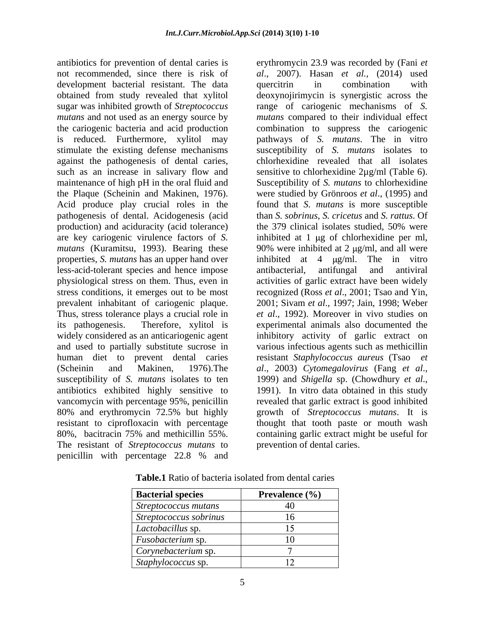development bacterial resistant. The data quercitrin in combination with against the pathogenesis of dental caries, such as an increase in salivary flow and sensitive to chlorhexidine  $2\mu g/ml$  (Table 6). maintenance of high pH in the oral fluid and Susceptibility of S. mutans to chlorhexidine Acid produce play crucial roles in the pathogenesis of dental. Acidogenesis (acid properties, *S. mutans* has an upper hand over inhibited at 4  $\mu$ g/ml. The in vitro less-acid-tolerant species and hence impose prevalent inhabitant of cariogenic plaque. (Scheinin and Makinen, 1976). The *al.*, 2003) Cytomegalovirus (Fang et al., susceptibility of *S. mutans* isolates to ten 1999) and *Shigella* sp. (Chowdhury *et al.*, antibiotics exhibited highly sensitive to 1991). In vitro data obtained in this study The resistant of *Streptococcus mutans* to penicillin with percentage 22.8 % and

antibiotics for prevention of dental caries is erythromycin 23.9 was recorded by (Fani *et*  not recommended, since there is risk of *al*., 2007). Hasan *et al.,* (2014) used obtained from study revealed that xylitol deoxynojirimycin is synergistic across the sugar was inhibited growth of *Streptococcus*  range of cariogenic mechanisms of *S. mutans* and not used as an energy source by *mutans* compared to their individual effect the cariogenic bacteria and acid production combination to suppress the cariogenic is reduced. Furthermore, xylitol may pathways of *S. mutans*. The in vitro stimulate the existing defense mechanisms susceptibility of *S. mutans* isolates to the Plaque (Scheinin and Makinen, 1976). were studied by Grönroos *et al*., (1995) and production) and aciduracity (acid tolerance) the 379 clinical isolates studied, 50% were are key cariogenic virulence factors of *S*. inhibited at 1 µg of chlorhexidine per ml, *mutans* (Kuramitsu, 1993). Bearing these 90% were inhibited at 2 µg/ml, and all were physiological stress on them. Thus, even in activities of garlic extract have been widely stress conditions, it emerges out to be most recognized (Ross *et al*., 2001; Tsao and Yin, Thus, stress tolerance plays a crucial role in *et al.*, 1992). Moreover in vivo studies on its pathogenesis. Therefore, xylitol is experimental animals also documented the widely considered as an anticariogenic agent inhibitory activity of garlic extract on and used to partially substitute sucrose in various infectious agents such as methicillin human diet to prevent dental caries resistant *Staphylococcus aureus* (Tsao *et* vancomycin with percentage 95%, penicillin revealed that garlic extract is good inhibited 80% and erythromycin 72.5% but highly growth of *Streptococcus mutans*. It is resistant to ciprofloxacin with percentage brought that tooth paste or mouth wash 80%, bacitracin 75% and methicillin 55%. containing garlic extract might be useful for quercitrin in combination with chlorhexidine revealed that all isolates sensitive to chlorhexidine 2µg/ml (Table 6). Susceptibility of *S. mutans* to chlorhexidine found that *S. mutans* is more susceptible than *S. sobrinus*, *S. cricetus* and *S. rattus*. Of inhibited at 4  $\mu$ g/ml. The in vitro antibacterial, antifungal and antiviral 2001; Sivam *et al*., 1997; Jain, 1998; Weber *al*., 2003) *Cytomegalovirus* (Fang *et al*., 1999) and *Shigella* sp. (Chowdhury *et al*., 1991). In vitro data obtained in this study prevention of dental caries.

| <b>Bacterial species</b> | <b>Prevalence</b> $(\% )$ |
|--------------------------|---------------------------|
| Streptococcus mutans     |                           |
| Streptococcus sobrinus   |                           |
| Lactobacillus sp.        |                           |
| <i>Fusobacterium</i> sp. |                           |
| Corynebacterium sp.      |                           |
| Staphylococcus sp.       |                           |

**Table.1** Ratio of bacteria isolated from dental caries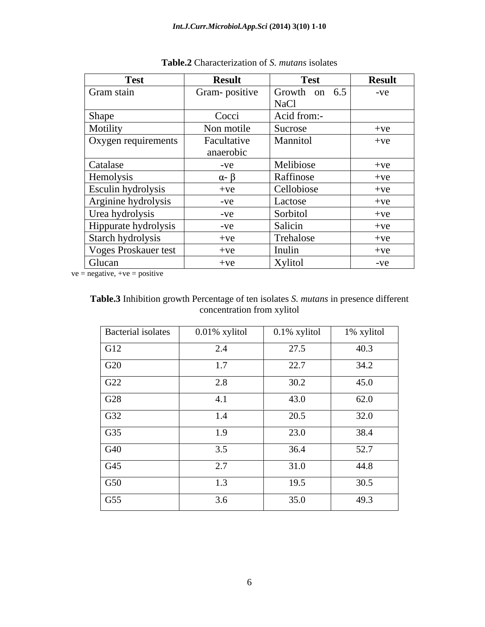| <b>Test</b>               | <b>Result</b>    | <b>Test</b>     | <b>Result</b> |
|---------------------------|------------------|-----------------|---------------|
| Gram stain                | Gram-positive    | Growth on $6.5$ | $-ve$         |
|                           |                  | <b>NaCl</b>     |               |
| Shape                     | Cocci            | Acid from:-     |               |
| Motility                  | Non motile       | Sucrose         | $+ve$         |
| Oxygen requirements       | Facultative      | Mannitol        | $+ve$         |
|                           | anaerobic        |                 |               |
| Catalase                  | $-ve$            | Melibiose       | $+ve$         |
| Hemolysis                 | $\alpha - \beta$ | Raffinose       | $+ve$         |
| <b>Esculin hydrolysis</b> | $+ve$            | Cellobiose      | $+ve$         |
| Arginine hydrolysis       | $-ve$            | Lactose         | $+ve$         |
| Urea hydrolysis           | $-ve$            | Sorbitol        | $+ve$         |
| Hippurate hydrolysis      | $-ve$            | Salicin         | $+ve$         |
| Starch hydrolysis         | $+ve$            | Trehalose       | $+ve$         |
| Voges Proskauer test      | $+ve$            | Inulin          | $+ve$         |
| Glucan                    | $+ve$            | Xylitol         | $-ve$         |

| Table.2<br>haracterization of S.<br><i>s</i> olates<br>mutar |  |
|--------------------------------------------------------------|--|
|--------------------------------------------------------------|--|

 $ve = negative, +ve = positive$ 

**Table.3** Inhibition growth Percentage of ten isolates *S. mutans* in presence different concentration from xylitol

| Bacterial isolates      | 0.01% xylitol | 0.1% xylitol | $1\%$ xylitol |
|-------------------------|---------------|--------------|---------------|
| G12                     | 2.4           | 27.5         | 40.3          |
| $\overline{\text{G20}}$ | 1.7           | 22.7         | 34.2          |
| G22                     | 2.8           | 30.2         | 45.0          |
| G28                     | 4.1           | 43.0         | 62.0          |
| G32                     | 1.4           | 20.5         | 32.0          |
| G35                     | 1.9           | 23.0         | 38.4          |
| G40                     | 3.5           | 36.4         | 52.7          |
| G45                     | 2.7           | 31.0         | 44.8          |
| G50                     | 1.3           | 19.5         | 30.5          |
| G55                     | 3.6           | 35.0         | 49.3          |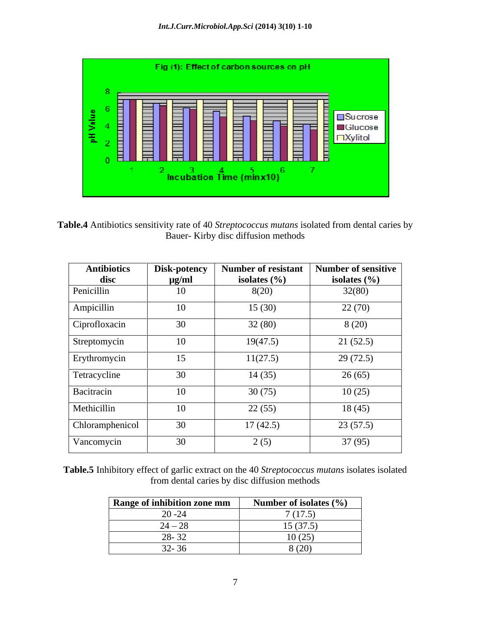

**Table.4** Antibiotics sensitivity rate of 40 *Streptococcus mutans* isolated from dental caries by Bauer- Kirby disc diffusion methods

| <b>Antibiotics</b><br>disc | Disk-potency<br>$\mu$ g/ml | <b>Number of resistant</b><br>isolates $(\% )$ | <b>Number of sensitive</b><br>isolates $(\% )$ |
|----------------------------|----------------------------|------------------------------------------------|------------------------------------------------|
| Penicillin                 | 10                         | 8(20)                                          | 32(80)                                         |
| Ampicillin                 | 10                         | 15(30)                                         | 22(70)                                         |
| Ciprofloxacin              | 30                         | 32(80)                                         | 8(20)                                          |
| Streptomycin               | 10                         | 19(47.5)                                       | 21(52.5)                                       |
| Erythromycin               | 15                         | 11(27.5)                                       | 29(72.5)                                       |
| Tetracycline               | 30                         | 14(35)                                         | 26(65)                                         |
| Bacitracin                 | 10                         | 30(75)                                         | 10(25)                                         |
| Methicillin                | 10                         | 22(55)                                         | 18(45)                                         |
| Chloramphenicol            | 30                         | 17(42.5)                                       | 23(57.5)                                       |
| Vancomycin                 | 30                         | 2(5)                                           | 37(95)                                         |

**Table.5** Inhibitory effect of garlic extract on the 40 *Streptococcus mutans* isolates isolated from dental caries by disc diffusion methods

| Range of inhibition zone mm            | Number of isolates $(\% )$ |
|----------------------------------------|----------------------------|
| $\Delta \Delta$<br>-40 -4 <del>1</del> | 7(175)                     |
| $\mathbf{A}$ $\mathbf{A}$<br>$2T \sim$ | 15(37.5)                   |
| 20.22<br>20- JZ                        | 10(07)<br>J \ 4J I         |
| $\Omega$<br>$J\mathcal{L}$ - JU        | (0)<br>\ ∠\ <i>}</i> }     |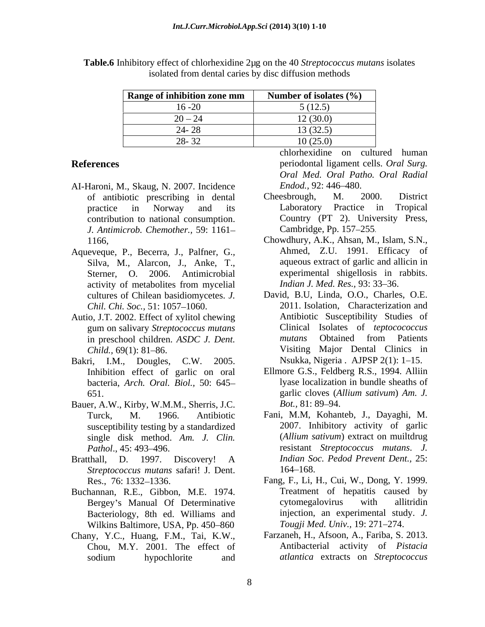| Range of inhibition zone mm      | Number of isolates $(\% )$ |
|----------------------------------|----------------------------|
| $1 \leq \Omega$<br>$10 - 20$     | 5(12.5)                    |
| $\sim$ $\sim$<br>$20 - 27$       | 12(30.0)                   |
| 24.20<br>44- 40                  | 13(32.5)                   |
| $\sim$ $\sim$<br>$\overline{20}$ | 10(25.0)                   |

**Table.6** Inhibitory effect of chlorhexidine 2µg on the 40 *Streptococcus mutans* isolates isolated from dental caries by disc diffusion methods

- AI-Haroni, M., Skaug, N. 2007. Incidence *Endod.*, 92: 446–480.<br>
of antibiotic prescribing in dental Cheesbrough. M. 2 contribution to national consumption. *J. Antimicrob. Chemother.,* 59: 1161
- Aqueveque, P., Becerra, J., Palfner, G.*,* activity of metabolites from mycelial *Indian J. Med. Res.*, 93: 33–36. cultures of Chilean basidiomycetes. *J.*
- Autio, J.T. 2002. Effect of xylitol chewing gum on salivary *Streptococcus mutans*
- Bakri, I.M., Dougles, C.W. 2005. Inhibition effect of garlic on oral bacteria, *Arch. Oral. Biol.,* 50: 645
- Bauer, A.W., Kirby, W.M.M., Sherris, J.C. susceptibility testing by a standardized single disk method. *Am. J. Clin.*
- *Streptococcus mutans* safari! J. Dent.
- Buchannan, R.E., Gibbon, M.E. 1974. Bacteriology, 8th ed. Williams and Wilkins Baltimore, USA, Pp. 450-860
- Chany, Y.C., Huang, F.M., Tai, K.W., Chou, M.Y. 2001. The effect of sodium hypochlorite and atlantica extracts on Streptococcus

**References** periodontal ligament cells. *Oral Surg.* chlorhexidine on cultured human *Oral Med. Oral Patho. Oral Radial Endod.,* 92: 446–480.

- of antibiotic prescribing in dental practice in Norway and its Cheesbrough, M. 2000. District Laboratory Practice in Tropical Country (PT 2). University Press, Cambridge, Pp. 157–255.<br>Chowdhury, A.K., Ahsan, M., Islam, S.N.,
- 1166. Chowdhury, A.K., Ahsan, M., Islam, S.N., Silva, M., Alarcon, J., Anke, T., aqueous extract of garlic and allicin in<br>Sterner, O. 2006. Antimicrobial experimental shigellosis in rabbits. Ahmed, Z.U. 1991. Efficacy of aqueous extract of garlic and allicin in *Indian J. Med. Res., 93: 33-36.*
- *Chil. Chi. Soc.*, 51: 1057–1060. 2011. Isolation, Characterization and in preschool children. *ASDC J. Dent.* Child., 69(1): 81–86. Child., 69(1): 81–86. David, B.U, Linda, O.O., Charles, O.E. Antibiotic Susceptibility Studies of Clinical Isolates of *teptocococcus mutans* Obtained from Patients Nsukka, Nigeria . AJPSP  $2(1)$ : 1–15.
- 651. garlic cloves (*Allium sativum*) *Am. J.* Ellmore G.S., Feldberg R.S., 1994. Alliin lyase localization in bundle sheaths of *Bot.*, 81: 89–94.
- Turck, M. 1966. Antibiotic Fani, M.M, Kohanteb, J., Dayaghi, M. *Pathol*., 45: 493 496. resistant *Streptococcus mutans*. *J.*  Bratthall, D. 1997. Discovery! A *Indian Soc. Pedod Prevent Dent.*, 25: 2007. Inhibitory activity of garlic (*Allium sativum*) extract on muiltdrug *Indian Soc. Pedod Prevent Dent.,* 25: 164–168.
	- Res., 76: 1332 1336. Fang, F., Li, H., Cui, W., Dong, Y. 1999. Bergey's Manual Of Determinative cytomegalovirus with allitridin Treatment of hepatitis caused by cytomegalovirus with allitridin injection, an experimental study. *J. Tougji Med. Univ.*, 19: 271–274.
		- Farzaneh, H., Afsoon, A., Fariba, S. 2013. Antibacterial activity of *Pistacia atlantica* extracts on *Streptococcus*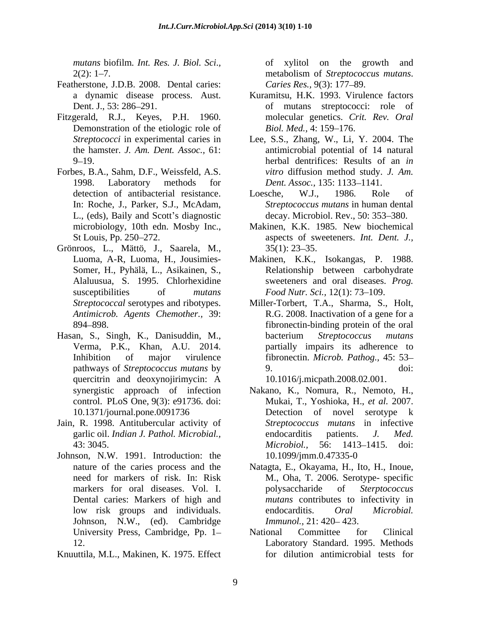*mutans* biofilm*. Int. Res. J. Biol. Sci*.*,* 2(2): 1–7. metabolism of *Streptococcus mutans*.

- Featherstone, J.D.B. 2008. Dental caries: Caries Res., 9(3): 177–89.
- Fitzgerald, R.J., Keyes, P.H. 1960. Demonstration of the etiologic role of Biol. Med., 4: 159–176.
- Forbes, B.A., Sahm, D.F., Weissfeld, A.S. L., (eds), Baily and Scott's diagnostic decay. Microbiol. Rev., 50: 353–380.
- Grönroos, L., Mättö, J., Saarela, M., Luoma, A-R, Luoma, H., Jousimies- Makinen, K.K., Isokangas, P. 1988.
- Hasan, S., Singh, K., Danisuddin, M., bacterium *Streptococcus mutans* Verma, P.K., Khan, A.U. 2014. partially impairs its adherence to quercitrin and deoxynojirimycin: A
- Jain, R. 1998. Antitubercular activity of
- Johnson, N.W. 1991. Introduction: the Dental caries: Markers of high and Johnson, N.W., (ed). Cambridge
- Knuuttila, M.L., Makinen, K. 1975. Effect

of xylitol on the growth metabolism of *Streptococcus mutans*. *Caries Res.,* 9(3): 177–89.

- a dynamic disease process. Aust. Kuramitsu, H.K. 1993. Virulence factors Dent. J., 53: 286 291. of mutans streptococci: role of molecular genetics. *Crit. Rev. Oral Biol. Med.,* 4: 159–176.
- *Streptococci* in experimental caries in Lee, S.S., Zhang, W., Li, Y. 2004. The the hamster. *J. Am. Dent. Assoc.,* 61: antimicrobial potential of 14 natural 9 19. herbal dentrifices: Results of an *in*  1998. Laboratory methods for *Dent. Assoc.*, 135: 1133–1141. *vitro* diffusion method study. *J. Am.*
- detection of antibacterial resistance. Loesche, W.J., 1986. Role of In: Roche, J., Parker, S.J., McAdam, *Streptococcus mutans* in human dental Loesche, W.J., 1986. Role of
- microbiology*,* 10th edn. Mosby Inc., Makinen, K.K. 1985. New biochemical St Louis, Pp. 250–272. aspects of sweeteners. *Int. Dent. J.,*  $35(1)$ :  $23-35$ .
- Somer, H., Pyhälä, L., Asikainen, S., Relationship between carbohydrate<br>Alaluusua, S. 1995. Chlorhexidine sweeteners and oral diseases. *Prog*. susceptibilities of *mutans Food Nutr. Sci.*, 12(1): 73–109. Relationship between carbohydrate sweeteners and oral diseases. *Prog.*
- *Streptococcal* serotypes and ribotypes. Miller-Torbert, T.A., Sharma, S., Holt, *Antimicrob. Agents Chemother.,* 39: R.G. 2008. Inactivation of a gene for a 894 898. fibronectin-binding protein of the oral Inhibition of major virulence fibronectin. *Microb. Pathog.,* 45: 53 pathways of *Streptococcus mutans* by 9. doi: bacterium *Streptococcus mutans* partially impairs its adherence to 9. doi:
	- 10.1016/j.micpath.2008.02.001.
- synergistic approach of infection Nakano, K., Nomura, R., Nemoto, H., synergistic approach of infection Makano, K., Nomura, R., Nemoto, H., control. PLoS One, 9(3): e91736. doi: Mukai, T., Yoshioka, H., *et al.* 2007. 10.1371/journal.pone.0091736 Detection of novel serotype k garlic oil. *Indian J. Pathol. Microbial.,* 43: 3045. **and Strip Strip Strip Strip Strip Strip Strip Strip Strip Strip Strip Strip Strip Strip Strip Strip Strip Strip Strip Strip Strip Strip Strip Strip Strip Strip Strip Strip Strip Strip Strip Strip Strip Strip Str** *Streptococcus mutans* in infective endocarditis patients. *J. Med. Microbiol.,* 56: 1413–1415. doi: 10.1099/jmm.0.47335-0
- nature of the caries process and the Natagta, E., Okayama, H., Ito, H., Inoue, need for markers of risk. In: Risk M., Oha, T. 2006. Serotype- specific markers for oral diseases. Vol. I. bolysaccharide of *Sterptococcus* low risk groups and individuals. The endocarditis. *Oral Microbial.* polysaccharide of *Sterptococcus mutans* contributes to infectivity in endocarditis. *Oral Microbial. Immunol.*, 21: 420–423.
- University Press, Cambridge, Pp. 1– National Committee for Clinical 12. Laboratory Standard. 1995. Methods National Committee for Clinical for dilution antimicrobial tests for